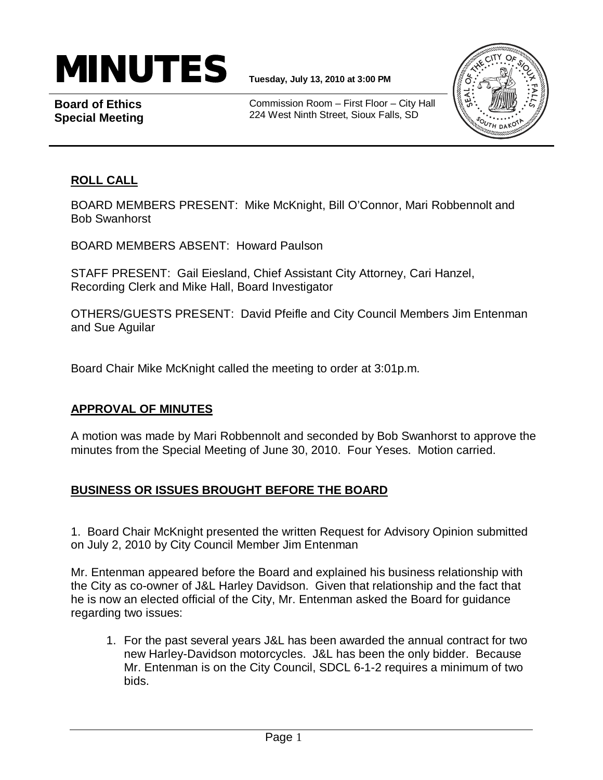# MINUTES **Tuesday, July 13, <sup>2010</sup> at 3:00 PM**

**Board of Ethics Special Meeting**

Commission Room – First Floor – City Hall 224 West Ninth Street, Sioux Falls, SD



## **ROLL CALL**

BOARD MEMBERS PRESENT: Mike McKnight, Bill O'Connor, Mari Robbennolt and Bob Swanhorst

BOARD MEMBERS ABSENT: Howard Paulson

STAFF PRESENT: Gail Eiesland, Chief Assistant City Attorney, Cari Hanzel, Recording Clerk and Mike Hall, Board Investigator

OTHERS/GUESTS PRESENT: David Pfeifle and City Council Members Jim Entenman and Sue Aguilar

Board Chair Mike McKnight called the meeting to order at 3:01p.m.

#### **APPROVAL OF MINUTES**

A motion was made by Mari Robbennolt and seconded by Bob Swanhorst to approve the minutes from the Special Meeting of June 30, 2010. Four Yeses. Motion carried.

## **BUSINESS OR ISSUES BROUGHT BEFORE THE BOARD**

1. Board Chair McKnight presented the written Request for Advisory Opinion submitted on July 2, 2010 by City Council Member Jim Entenman

Mr. Entenman appeared before the Board and explained his business relationship with the City as co-owner of J&L Harley Davidson. Given that relationship and the fact that he is now an elected official of the City, Mr. Entenman asked the Board for guidance regarding two issues:

1. For the past several years J&L has been awarded the annual contract for two new Harley-Davidson motorcycles. J&L has been the only bidder. Because Mr. Entenman is on the City Council, SDCL 6-1-2 requires a minimum of two bids.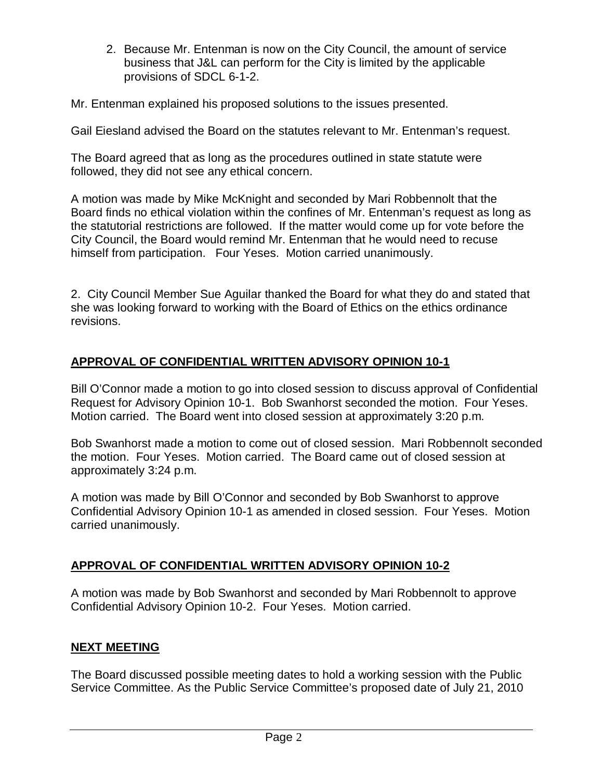- 2. Because Mr. Entenman is now on the City Council, the amount of service business that J&L can perform for the City is limited by the applicable provisions of SDCL 6-1-2.
- Mr. Entenman explained his proposed solutions to the issues presented.

Gail Eiesland advised the Board on the statutes relevant to Mr. Entenman's request.

The Board agreed that as long as the procedures outlined in state statute were followed, they did not see any ethical concern.

A motion was made by Mike McKnight and seconded by Mari Robbennolt that the Board finds no ethical violation within the confines of Mr. Entenman's request as long as the statutorial restrictions are followed. If the matter would come up for vote before the City Council, the Board would remind Mr. Entenman that he would need to recuse himself from participation. Four Yeses. Motion carried unanimously.

2. City Council Member Sue Aguilar thanked the Board for what they do and stated that she was looking forward to working with the Board of Ethics on the ethics ordinance revisions.

# **APPROVAL OF CONFIDENTIAL WRITTEN ADVISORY OPINION 10-1**

Bill O'Connor made a motion to go into closed session to discuss approval of Confidential Request for Advisory Opinion 10-1. Bob Swanhorst seconded the motion. Four Yeses. Motion carried. The Board went into closed session at approximately 3:20 p.m.

Bob Swanhorst made a motion to come out of closed session. Mari Robbennolt seconded the motion. Four Yeses. Motion carried. The Board came out of closed session at approximately 3:24 p.m.

A motion was made by Bill O'Connor and seconded by Bob Swanhorst to approve Confidential Advisory Opinion 10-1 as amended in closed session. Four Yeses. Motion carried unanimously.

## **APPROVAL OF CONFIDENTIAL WRITTEN ADVISORY OPINION 10-2**

A motion was made by Bob Swanhorst and seconded by Mari Robbennolt to approve Confidential Advisory Opinion 10-2. Four Yeses. Motion carried.

#### **NEXT MEETING**

The Board discussed possible meeting dates to hold a working session with the Public Service Committee. As the Public Service Committee's proposed date of July 21, 2010